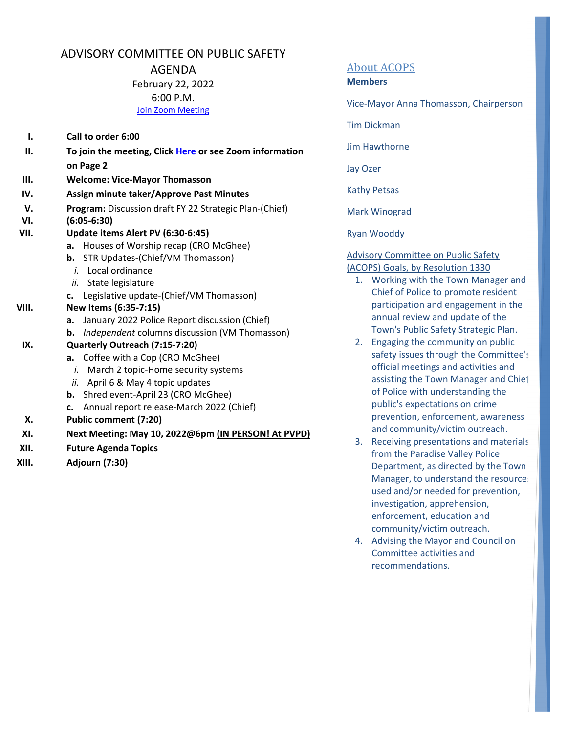# ADVISORY COMMITTEE ON PUBLIC SAFETY

AGENDA

February 22, 2022 6:00 P.M.

Join Zoom Meeting

- **I. Call to order 6:00**
- **II. To join the meeting, Click Here or see Zoom information on Page 2**
- **III. Welcome: Vice‐Mayor Thomasson**
- **IV. Assign minute taker/Approve Past Minutes**
- **V. Program:** Discussion draft FY 22 Strategic Plan‐(Chief)
- **VI. (6:05‐6:30)**
- **VII. Update items Alert PV (6:30‐6:45)**
	- **a.** Houses of Worship recap (CRO McGhee)
	- **b.** STR Updates‐(Chief/VM Thomasson)
		- *i.* Local ordinance
	- *ii.* State legislature
	- **c.** Legislative update‐(Chief/VM Thomasson)
- **VIII. New Items (6:35‐7:15)**
	- **a.** January 2022 Police Report discussion (Chief)
	- **b.** *Independent* columns discussion (VM Thomasson)

### **IX. Quarterly Outreach (7:15‐7:20)**

- **a.** Coffee with a Cop (CRO McGhee)
	- *i.* March 2 topic‐Home security systems
- *ii.* April 6 & May 4 topic updates
- **b.** Shred event‐April 23 (CRO McGhee)
- **c.** Annual report release‐March 2022 (Chief)
- **X. Public comment (7:20)**
- **XI. Next Meeting: May 10, 2022@6pm (IN PERSON! At PVPD)**
- **XII. Future Agenda Topics**
- **XIII. Adjourn (7:30)**

# About ACOPS

#### **Members**

Vice‐Mayor Anna Thomasson, Chairperson

Tim Dickman

Jim Hawthorne

Jay Ozer

Kathy Petsas

Mark Winograd

Ryan Wooddy

#### Advisory Committee on Public Safety (ACOPS) Goals, by Resolution 1330

- 1. Working with the Town Manager and Chief of Police to promote resident participation and engagement in the annual review and update of the Town's Public Safety Strategic Plan.
- 2. Engaging the community on public safety issues through the Committee's official meetings and activities and assisting the Town Manager and Chief of Police with understanding the public's expectations on crime prevention, enforcement, awareness and community/victim outreach.
- 3. Receiving presentations and materials from the Paradise Valley Police Department, as directed by the Town Manager, to understand the resources used and/or needed for prevention, investigation, apprehension, enforcement, education and community/victim outreach.
- 4. Advising the Mayor and Council on Committee activities and recommendations.